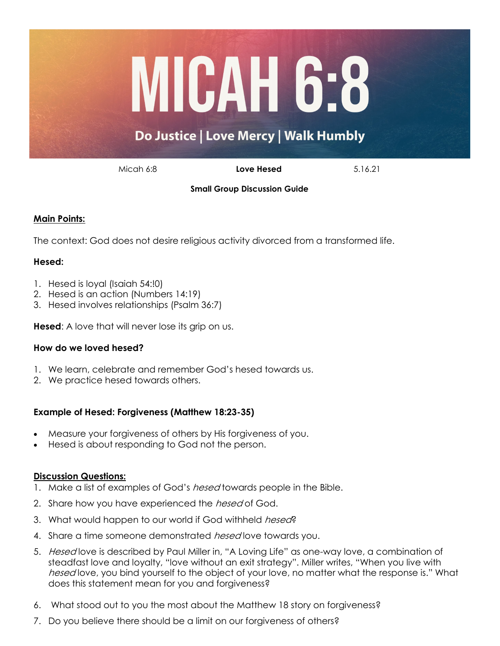

Micah 6:8 **Love Hesed** 5.16.21

**Small Group Discussion Guide** 

# **Main Points:**

The context: God does not desire religious activity divorced from a transformed life.

## **Hesed:**

- 1. Hesed is loyal (Isaiah 54:!0)
- 2. Hesed is an action (Numbers 14:19)
- 3. Hesed involves relationships (Psalm 36:7)

**Hesed:** A love that will never lose its grip on us.

## **How do we loved hesed?**

- 1. We learn, celebrate and remember God's hesed towards us.
- 2. We practice hesed towards others.

## **Example of Hesed: Forgiveness (Matthew 18:23-35)**

- Measure your forgiveness of others by His forgiveness of you.
- Hesed is about responding to God not the person.

## **Discussion Questions:**

- 1. Make a list of examples of God's *hesed* towards people in the Bible.
- 2. Share how you have experienced the *hesed* of God.
- 3. What would happen to our world if God withheld hesed?
- 4. Share a time someone demonstrated *hesed* love towards you.
- 5. Hesed love is described by Paul Miller in, "A Loving Life" as one-way love, a combination of steadfast love and loyalty, "love without an exit strategy". Miller writes, "When you live with hesed love, you bind yourself to the object of your love, no matter what the response is." What does this statement mean for you and forgiveness?
- 6. What stood out to you the most about the Matthew 18 story on forgiveness?
- 7. Do you believe there should be a limit on our forgiveness of others?